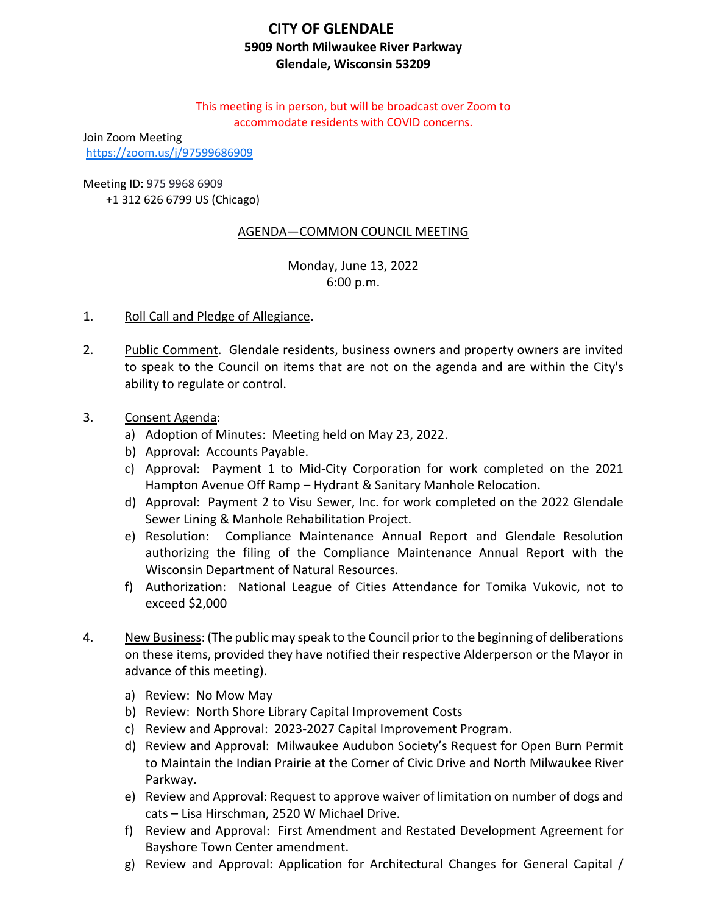# **CITY OF GLENDALE 5909 North Milwaukee River Parkway Glendale, Wisconsin 53209**

This meeting is in person, but will be broadcast over Zoom to accommodate residents with COVID concerns.

Join Zoom Meeting <https://zoom.us/j/97599686909>

Meeting ID: 975 9968 6909

+1 312 626 6799 US (Chicago)

# AGENDA—COMMON COUNCIL MEETING

Monday, June 13, 2022 6:00 p.m.

- 1. Roll Call and Pledge of Allegiance.
- 2. Public Comment. Glendale residents, business owners and property owners are invited to speak to the Council on items that are not on the agenda and are within the City's ability to regulate or control.
- 3. Consent Agenda:
	- a) Adoption of Minutes: Meeting held on May 23, 2022.
	- b) Approval: Accounts Payable.
	- c) [Approval: Payment 1 to Mid-City Corporation for work completed on the 2021](#page-2-0)  Hampton Avenue Off Ramp – Hydrant & Sanitary Manhole Relocation.
	- d) Approval: Payment 2 to Visu Sewer, Inc. for work completed on the 2022 Glendale Sewer Lining & Manhole Rehabilitation Project.
	- e) Resolution: Compliance Maintenance Annual Report and Glendale Resolution authorizing the filing of the Compliance Maintenance Annual Report with the Wisconsin Department of Natural Resources.
	- f) Authorization: National League of Cities Attendance for Tomika Vukovic, not to exceed \$2,000
- 4. New Business: (The public may speak to the Council prior to the beginning of deliberations on these items, provided they have notified their respective Alderperson or the Mayor in advance of this meeting).
	- a) Review: No Mow May
	- b) Review: North Shore Library Capital Improvement Costs
	- c) [Review and Approval: 2023-2027 Capital Improvement Program.](#page-3-0)
	- d) Review and Approval: Milwaukee Audubon Society's Request for Open Burn Permit [to Maintain the Indian Prairie at the Corner of Civic Drive and North Milwaukee River](#page-5-0)  Parkway.
	- e) [Review and Approval: Request to approve waiver of limitation on number of dogs and](#page-6-0)  cats – Lisa Hirschman, 2520 W Michael Drive.
	- f) [Review and Approval: First Amendment and Restated Development Agreement](#page-7-0) for Bayshore Town Center amendment.
	- g) [Review and Approval: Application for Architectural Changes for General Capital /](#page-9-0)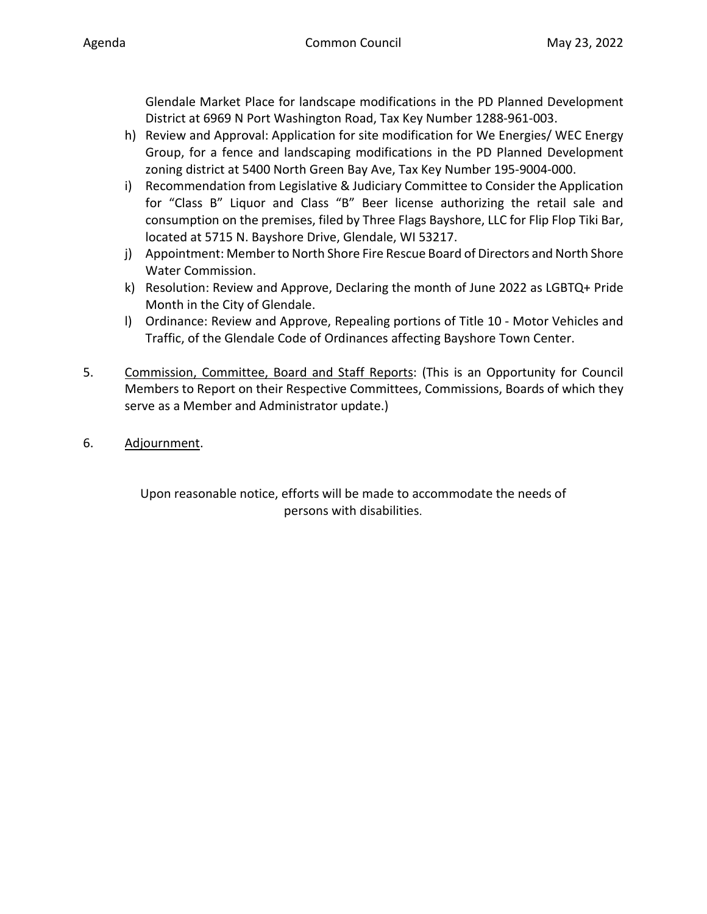[Glendale Market Place for landscape modifications in the PD Planned Development](#page-9-0)  District at 6969 N Port Washington Road, Tax Key Number 1288-961-003.

- h) Review and Approval: Application for site modification for We Energies/ WEC Energy [Group, for a fence and landscaping modifications in the PD Planned Development](#page-11-0)  zoning district at 5400 North Green Bay Ave, Tax Key Number 195-9004-000.
- i) [Recommendation from Legislative & Judiciary Committee to Consider the Application](#page-13-0)  for "Class B" Liquor and Class "B" Beer license authorizing the retail sale and consumption on the premises, filed by Three Flags Bayshore, LLC for Flip Flop Tiki Bar, located at 5715 N. Bayshore Drive, Glendale, WI 53217.
- j) Appointment: [Member to North Shore Fire Rescue Board of Directors and North Shore](#page-15-0)  Water Commission.
- k) Resolution: [Review and Approve, Declaring the month of June 2022 as LGBTQ+ Pride](#page-16-0)  Month in the City of Glendale.
- l) Ordinance: Review and Approve, Repealing portions of Title 10 Motor Vehicles and [Traffic, of the Glendale Code of Ordinances](#page-17-0) affecting Bayshore Town Center.
- 5. Commission, Committee, Board and Staff Reports: (This is an Opportunity for Council Members to Report on their Respective Committees, Commissions, Boards of which they serve as a Member and Administrator update.)
- 6. Adjournment.

Upon reasonable notice, efforts will be made to accommodate the needs of persons with disabilities.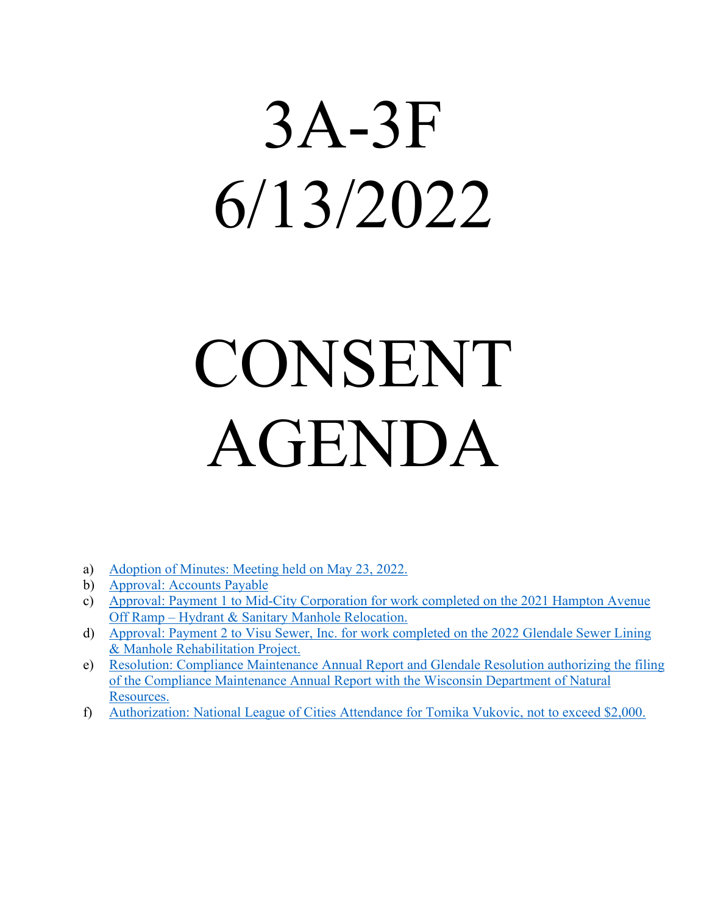# <span id="page-2-0"></span>3A-3F 6/13/2022

# CONSENT AGENDA

- a) [Adoption of Minutes: Meeting held on May 23, 2022.](https://www.glendale-wi.org/DocumentCenter/View/2743/Council-Minutes-5-23-2022)
- b) [Approval: Accounts Payable](https://www.glendale-wi.org/DocumentCenter/View/2734/Accounts-Payable-Report-for-Council-Meeting-6-13-22)
- c) [Approval: Payment 1 to Mid-City Corporation for work completed on the 2021 Hampton Avenue](https://www.glendale-wi.org/DocumentCenter/View/2746/Memo---2022-Mid-City-Corporation-2022-I-43-Fire-Hydrant-and-Sanitary-Manhole-Relocation-Project---Payment-1)  Off Ramp – [Hydrant & Sanitary Manhole Relocation.](https://www.glendale-wi.org/DocumentCenter/View/2746/Memo---2022-Mid-City-Corporation-2022-I-43-Fire-Hydrant-and-Sanitary-Manhole-Relocation-Project---Payment-1)
- d) [Approval: Payment 2 to Visu Sewer, Inc. for work completed on the 2022 Glendale Sewer Lining](https://www.glendale-wi.org/DocumentCenter/View/2745/Memo---2022-Visu-Sewer-Inc-2022-Sewer-Lining-and-Manhole-Rehabilitation-Project---Payment-2)  [& Manhole Rehabilitation Project.](https://www.glendale-wi.org/DocumentCenter/View/2745/Memo---2022-Visu-Sewer-Inc-2022-Sewer-Lining-and-Manhole-Rehabilitation-Project---Payment-2)
- e) [Resolution: Compliance Maintenance Annual Report and Glendale Resolution authorizing the filing](https://www.glendale-wi.org/DocumentCenter/View/2744/Memo---2022-CMAR-Report-and-Resolution-to-Council)  [of the Compliance Maintenance Annual Report with the Wisconsin Department of Natural](https://www.glendale-wi.org/DocumentCenter/View/2744/Memo---2022-CMAR-Report-and-Resolution-to-Council)  [Resources.](https://www.glendale-wi.org/DocumentCenter/View/2744/Memo---2022-CMAR-Report-and-Resolution-to-Council)
- f) [Authorization: National League of Cities Attendance for Tomika Vukovic, not to exceed \\$2,000.](https://www.glendale-wi.org/DocumentCenter/View/2749/Memo---Out-of-State-Travel-Request--Tomika)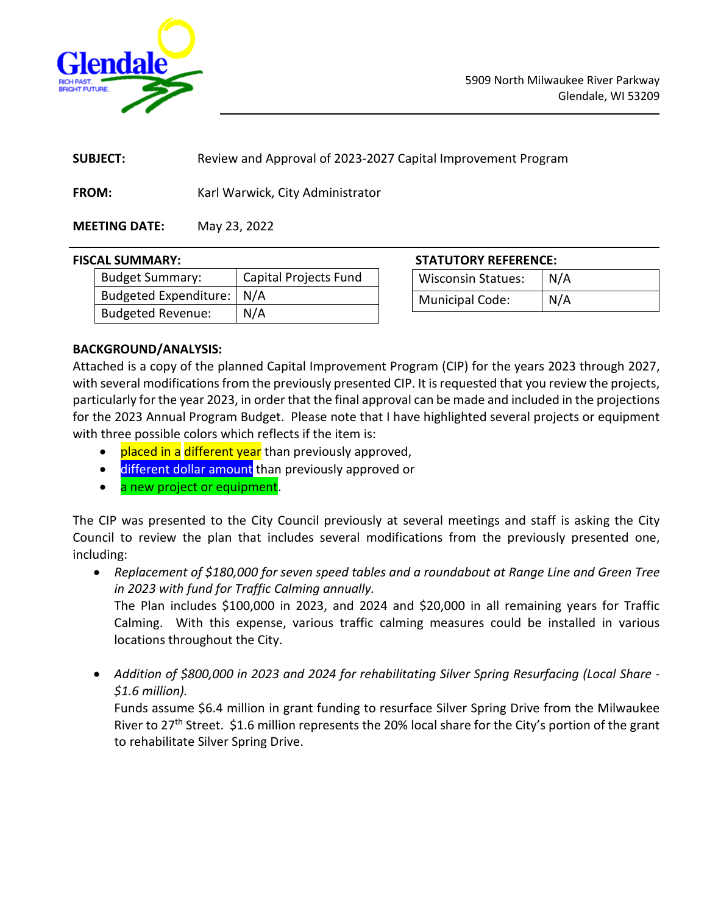<span id="page-3-0"></span>

| <b>SUBJECT:</b> | Review and Approval of 2023-2027 Capital Improvement Program |  |
|-----------------|--------------------------------------------------------------|--|
|                 |                                                              |  |

**FROM:** Karl Warwick, City Administrator

# **MEETING DATE:** May 23, 2022

| .                           |                              |
|-----------------------------|------------------------------|
| Budget Summary:             | <b>Capital Projects Fund</b> |
| Budgeted Expenditure:   N/A |                              |
| Budgeted Revenue:           | N/A                          |

# **FISCAL SUMMARY: STATUTORY REFERENCE:**

| <b>Wisconsin Statues:</b> | N/A |
|---------------------------|-----|
| Municipal Code:           | N/A |

# **BACKGROUND/ANALYSIS:**

Attached is a copy of the planned Capital Improvement Program (CIP) for the years 2023 through 2027, with several modifications from the previously presented CIP. It is requested that you review the projects, particularly for the year 2023, in order that the final approval can be made and included in the projections for the 2023 Annual Program Budget. Please note that I have highlighted several projects or equipment with three possible colors which reflects if the item is:

- placed in a different year than previously approved,
- different dollar amount than previously approved or
- a new project or equipment.

The CIP was presented to the City Council previously at several meetings and staff is asking the City Council to review the plan that includes several modifications from the previously presented one, including:

• *Replacement of \$180,000 for seven speed tables and a roundabout at Range Line and Green Tree in 2023 with fund for Traffic Calming annually.* 

The Plan includes \$100,000 in 2023, and 2024 and \$20,000 in all remaining years for Traffic Calming. With this expense, various traffic calming measures could be installed in various locations throughout the City.

• *Addition of \$800,000 in 2023 and 2024 for rehabilitating Silver Spring Resurfacing (Local Share - \$1.6 million).*

Funds assume \$6.4 million in grant funding to resurface Silver Spring Drive from the Milwaukee River to 27<sup>th</sup> Street. \$1.6 million represents the 20% local share for the City's portion of the grant to rehabilitate Silver Spring Drive.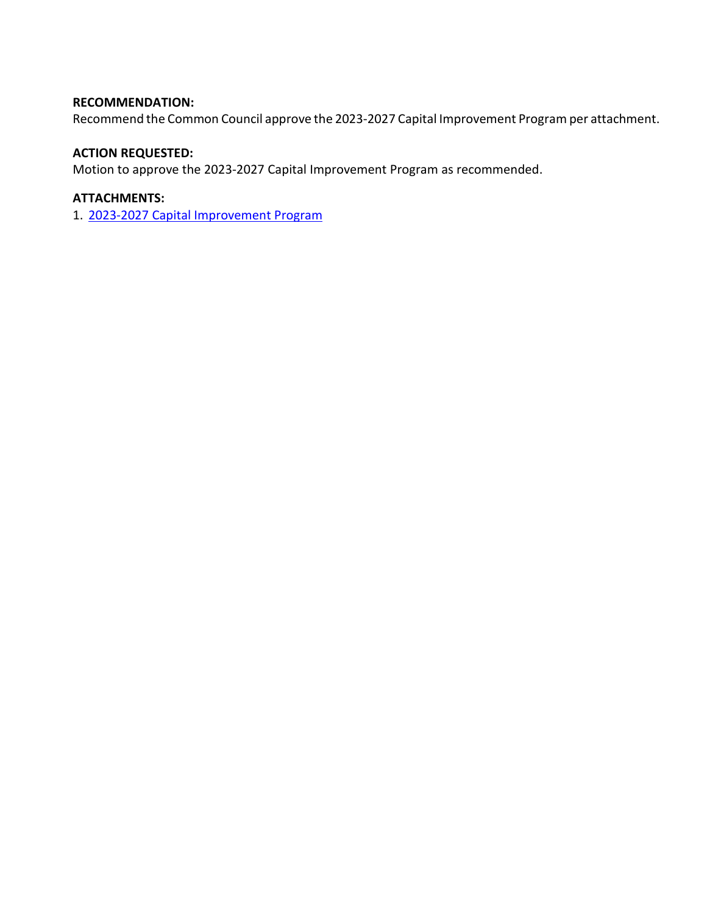## **RECOMMENDATION:**

Recommend the Common Council approve the 2023-2027 Capital Improvement Program per attachment.

#### **ACTION REQUESTED:**

Motion to approve the 2023-2027 Capital Improvement Program as recommended.

## **ATTACHMENTS:**

1. [2023-2027 Capital Improvement Program](https://www.glendale-wi.org/DocumentCenter/View/2735/Attach---2023-27-Capital-Improvement-Program)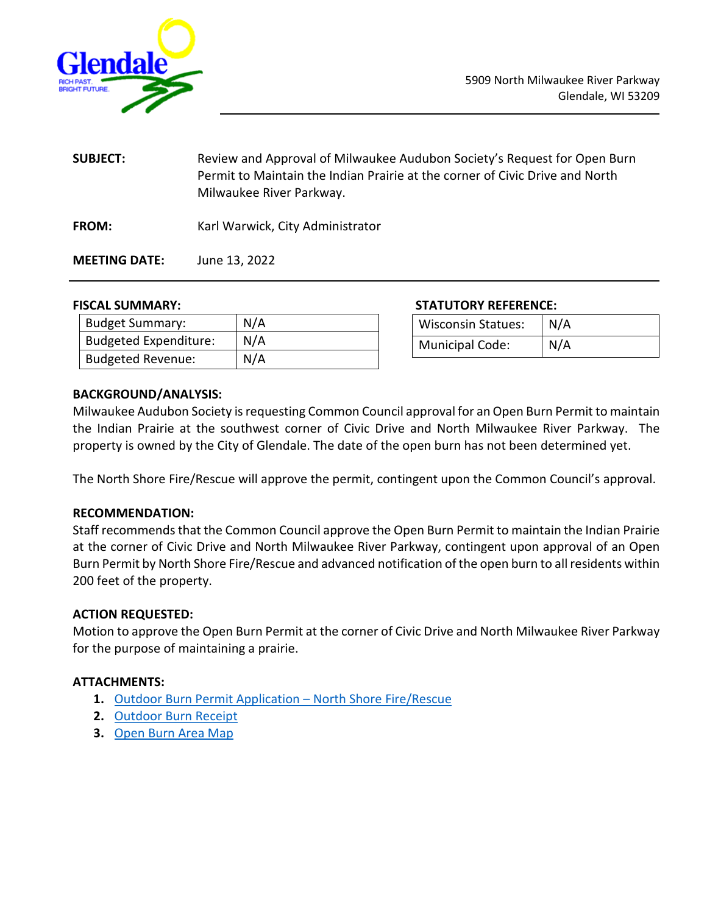<span id="page-5-0"></span>

**SUBJECT:** Review and Approval of Milwaukee Audubon Society's Request for Open Burn Permit to Maintain the Indian Prairie at the corner of Civic Drive and North Milwaukee River Parkway. **FROM:** Karl Warwick, City Administrator

**MEETING DATE:** June 13, 2022

| <b>Budget Summary:</b>       | N/A |
|------------------------------|-----|
| <b>Budgeted Expenditure:</b> | N/A |
| <b>Budgeted Revenue:</b>     | N/A |

**FISCAL SUMMARY: STATUTORY REFERENCE:**

| <b>Wisconsin Statues:</b> | N/A |
|---------------------------|-----|
| <b>Municipal Code:</b>    | N/A |

#### **BACKGROUND/ANALYSIS:**

Milwaukee Audubon Society is requesting Common Council approval for an Open Burn Permit to maintain the Indian Prairie at the southwest corner of Civic Drive and North Milwaukee River Parkway. The property is owned by the City of Glendale. The date of the open burn has not been determined yet.

The North Shore Fire/Rescue will approve the permit, contingent upon the Common Council's approval.

### **RECOMMENDATION:**

Staff recommends that the Common Council approve the Open Burn Permit to maintain the Indian Prairie at the corner of Civic Drive and North Milwaukee River Parkway, contingent upon approval of an Open Burn Permit by North Shore Fire/Rescue and advanced notification of the open burn to all residents within 200 feet of the property.

### **ACTION REQUESTED:**

Motion to approve the Open Burn Permit at the corner of Civic Drive and North Milwaukee River Parkway for the purpose of maintaining a prairie.

### **ATTACHMENTS:**

- **1.** [Outdoor Burn Permit Application –](https://www.glendale-wi.org/DocumentCenter/View/2747/Outdoor-Burns-Permit-Application---North-Shore-Fire-Rescue) [North Shore Fire/Rescue](https://www.glendale-wi.org/DocumentCenter/View/2747/Outdoor-Burns-Permit-Application---North-Shore-Fire-Rescue)
- **2.** [Outdoor Burn Receipt](https://www.glendale-wi.org/DocumentCenter/View/2737/FW_-Outdoor-Burn--5891-N-Milwaukee-River-Parkway-Glendale-WI-53209)
- **3.** [Open Burn Area](https://www.glendale-wi.org/DocumentCenter/View/2740/Indian-Prairie-Burn-Map) [Map](https://www.glendale-wi.org/DocumentCenter/View/2740/Indian-Prairie-Burn-Map)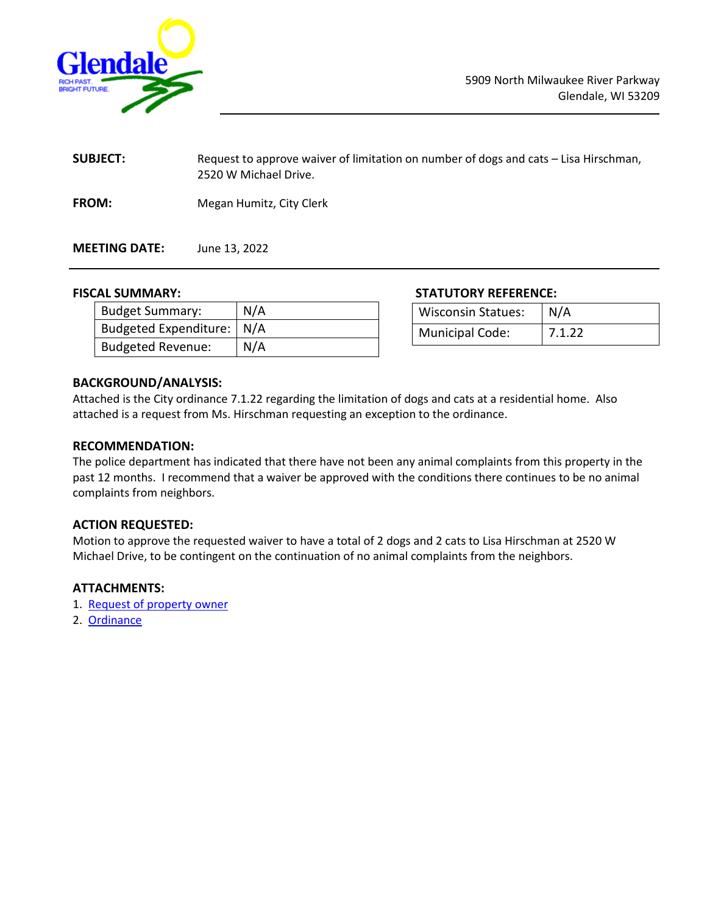<span id="page-6-0"></span>

| <b>SUBJECT:</b> | Request to approve waiver of limitation on number of dogs and cats – Lisa Hirschman,<br>2520 W Michael Drive. |
|-----------------|---------------------------------------------------------------------------------------------------------------|
| <b>FROM:</b>    | Megan Humitz, City Clerk                                                                                      |

**MEETING DATE:** June 13, 2022

| <b>Budget Summary:</b>      | N/A |
|-----------------------------|-----|
| Budgeted Expenditure:   N/A |     |
| <b>Budgeted Revenue:</b>    | N/A |

#### **FISCAL SUMMARY: STATUTORY REFERENCE:**

| <b>Wisconsin Statues:</b> | N/A    |
|---------------------------|--------|
| <b>Municipal Code:</b>    | 7.1.22 |

#### **BACKGROUND/ANALYSIS:**

Attached is the City ordinance 7.1.22 regarding the limitation of dogs and cats at a residential home. Also attached is a request from Ms. Hirschman requesting an exception to the ordinance.

#### **RECOMMENDATION:**

The police department has indicated that there have not been any animal complaints from this property in the past 12 months. I recommend that a waiver be approved with the conditions there continues to be no animal complaints from neighbors.

#### **ACTION REQUESTED:**

Motion to approve the requested waiver to have a total of 2 dogs and 2 cats to Lisa Hirschman at 2520 W Michael Drive, to be contingent on the continuation of no animal complaints from the neighbors.

#### **ATTACHMENTS:**

- 1. [Request of property owner](https://www.glendale-wi.org/DocumentCenter/View/2741/Letter-to-Council-re-pet---Hirschman---5-24-22)
- 2. [Ordinance](https://www.glendale-wi.org/DocumentCenter/View/2748/Ordinance-7122)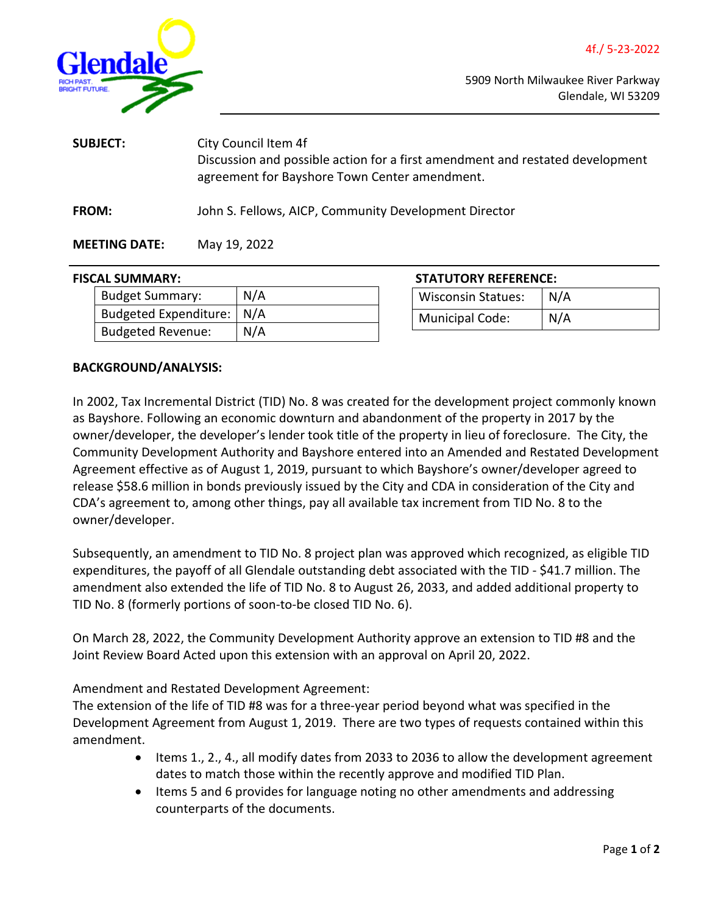<span id="page-7-0"></span>

| <b>SUBJECT:</b>      | City Council Item 4f<br>Discussion and possible action for a first amendment and restated development<br>agreement for Bayshore Town Center amendment. |
|----------------------|--------------------------------------------------------------------------------------------------------------------------------------------------------|
| <b>FROM:</b>         | John S. Fellows, AICP, Community Development Director                                                                                                  |
| <b>MEETING DATE:</b> | May 19, 2022                                                                                                                                           |

#### **FISCAL SUMMARY:**

| Budget Summary:             | N/A |
|-----------------------------|-----|
| Budgeted Expenditure:   N/A |     |
| Budgeted Revenue:           | N/A |

| <b>STATUTORY REFERENCE:</b> |     |
|-----------------------------|-----|
| <b>Wisconsin Statues:</b>   | N/A |
| <b>Municipal Code:</b>      | N/A |

#### **BACKGROUND/ANALYSIS:**

In 2002, Tax Incremental District (TID) No. 8 was created for the development project commonly known as Bayshore. Following an economic downturn and abandonment of the property in 2017 by the owner/developer, the developer's lender took title of the property in lieu of foreclosure. The City, the Community Development Authority and Bayshore entered into an Amended and Restated Development Agreement effective as of August 1, 2019, pursuant to which Bayshore's owner/developer agreed to release \$58.6 million in bonds previously issued by the City and CDA in consideration of the City and CDA's agreement to, among other things, pay all available tax increment from TID No. 8 to the owner/developer.

Subsequently, an amendment to TID No. 8 project plan was approved which recognized, as eligible TID expenditures, the payoff of all Glendale outstanding debt associated with the TID - \$41.7 million. The amendment also extended the life of TID No. 8 to August 26, 2033, and added additional property to TID No. 8 (formerly portions of soon-to-be closed TID No. 6).

On March 28, 2022, the Community Development Authority approve an extension to TID #8 and the Joint Review Board Acted upon this extension with an approval on April 20, 2022.

Amendment and Restated Development Agreement:

The extension of the life of TID #8 was for a three-year period beyond what was specified in the Development Agreement from August 1, 2019. There are two types of requests contained within this amendment.

- Items 1., 2., 4., all modify dates from 2033 to 2036 to allow the development agreement dates to match those within the recently approve and modified TID Plan.
- Items 5 and 6 provides for language noting no other amendments and addressing counterparts of the documents.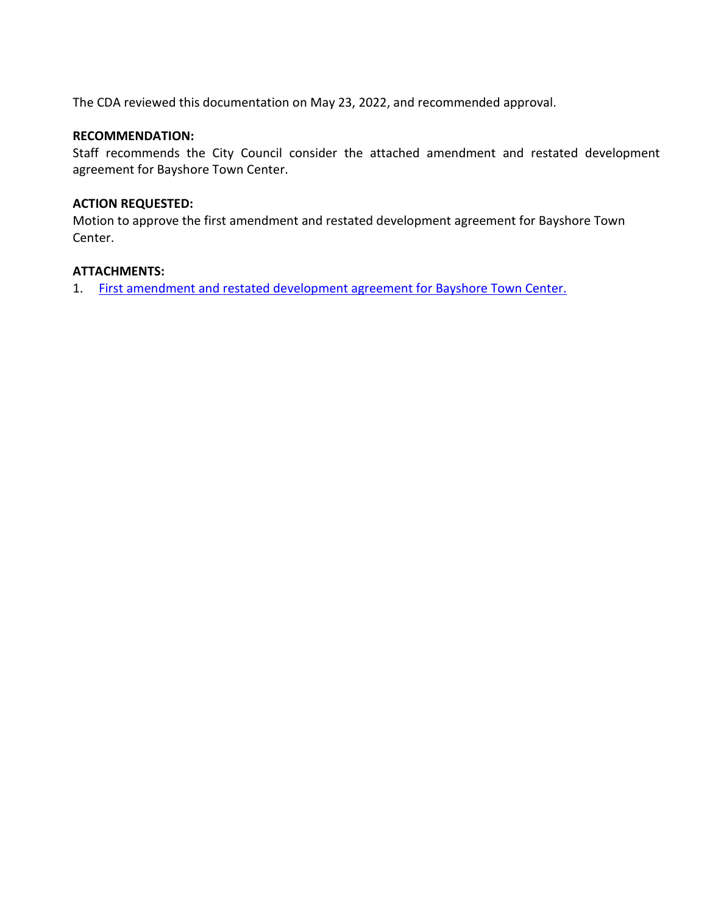The CDA reviewed this documentation on May 23, 2022, and recommended approval.

## **RECOMMENDATION:**

Staff recommends the City Council consider the attached amendment and restated development agreement for Bayshore Town Center.

## **ACTION REQUESTED:**

Motion to approve the first amendment and restated development agreement for Bayshore Town Center.

### **ATTACHMENTS:**

1. [First amendment and restated development agreement for Bayshore Town Center.](https://www.glendale-wi.org/DocumentCenter/View/2728/Item-f-Attachment---Final-Draft-First-Amendment-to-Amended-and-Restated-Development-Agreement-for-Bayshore-5-18-2021)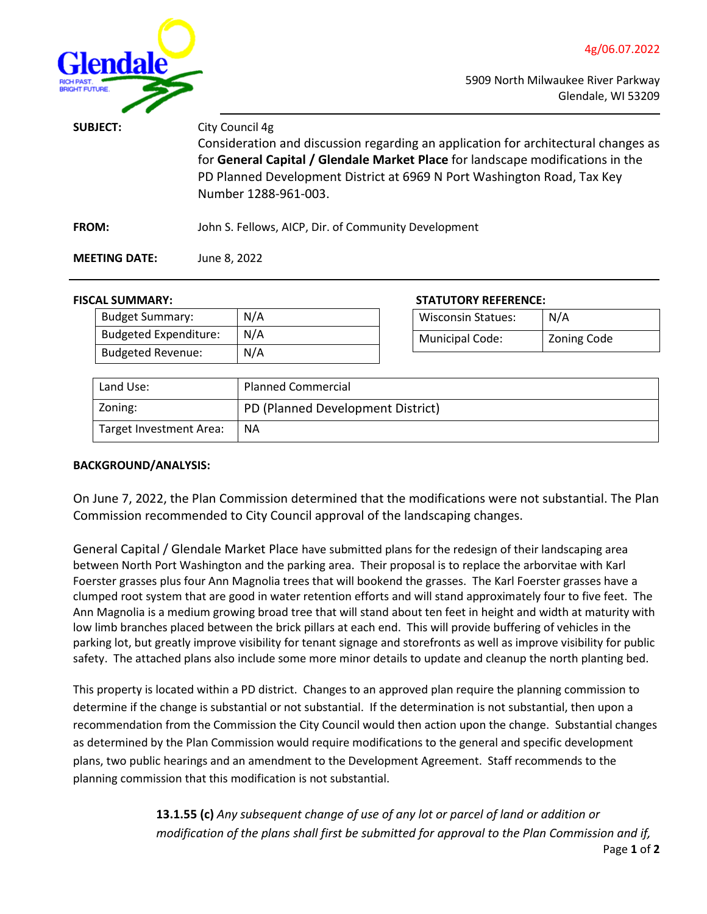

<span id="page-9-0"></span>

| <b>SUBJECT:</b>      | City Council 4g<br>Consideration and discussion regarding an application for architectural changes as<br>for General Capital / Glendale Market Place for landscape modifications in the<br>PD Planned Development District at 6969 N Port Washington Road, Tax Key<br>Number 1288-961-003. |
|----------------------|--------------------------------------------------------------------------------------------------------------------------------------------------------------------------------------------------------------------------------------------------------------------------------------------|
| <b>FROM:</b>         | John S. Fellows, AICP, Dir. of Community Development                                                                                                                                                                                                                                       |
| <b>MEETING DATE:</b> | June 8, 2022                                                                                                                                                                                                                                                                               |

#### **FISCAL SUMMARY: STATUTORY REFERENCE:**

| .                            |     | ,,,,,,,,,,,,,,,,,,,,,,,,, |                           |                    |
|------------------------------|-----|---------------------------|---------------------------|--------------------|
| <b>Budget Summary:</b>       | N/A |                           | <b>Wisconsin Statues:</b> | N/A                |
| <b>Budgeted Expenditure:</b> | N/A |                           | <b>Municipal Code:</b>    | <b>Zoning Code</b> |
| <b>Budgeted Revenue:</b>     | N/A |                           |                           |                    |

| Land Use:               | <b>Planned Commercial</b>         |
|-------------------------|-----------------------------------|
| Zoning:                 | PD (Planned Development District) |
| Target Investment Area: | <b>NA</b>                         |

#### **BACKGROUND/ANALYSIS:**

On June 7, 2022, the Plan Commission determined that the modifications were not substantial. The Plan Commission recommended to City Council approval of the landscaping changes.

General Capital / Glendale Market Place have submitted plans for the redesign of their landscaping area between North Port Washington and the parking area. Their proposal is to replace the arborvitae with Karl Foerster grasses plus four Ann Magnolia trees that will bookend the grasses. The Karl Foerster grasses have a clumped root system that are good in water retention efforts and will stand approximately four to five feet. The Ann Magnolia is a medium growing broad tree that will stand about ten feet in height and width at maturity with low limb branches placed between the brick pillars at each end. This will provide buffering of vehicles in the parking lot, but greatly improve visibility for tenant signage and storefronts as well as improve visibility for public safety. The attached plans also include some more minor details to update and cleanup the north planting bed.

This property is located within a PD district. Changes to an approved plan require the planning commission to determine if the change is substantial or not substantial. If the determination is not substantial, then upon a recommendation from the Commission the City Council would then action upon the change. Substantial changes as determined by the Plan Commission would require modifications to the general and specific development plans, two public hearings and an amendment to the Development Agreement. Staff recommends to the planning commission that this modification is not substantial.

> **13.1.55 (c)** *Any subsequent change of use of any lot or parcel of land or addition or modification of the plans shall first be submitted for approval to the Plan Commission and if,*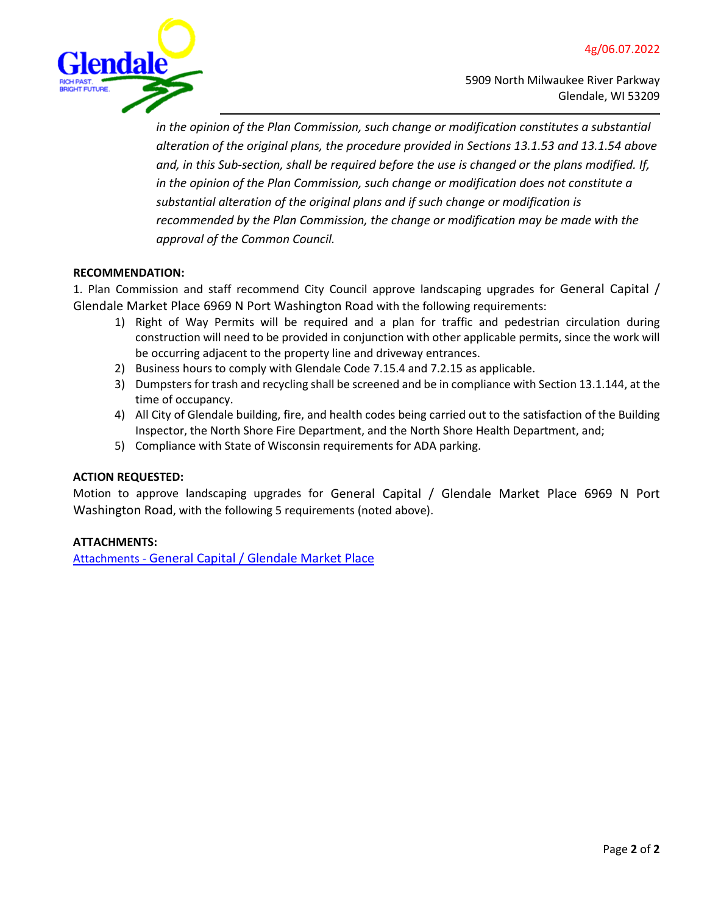

*in the opinion of the Plan Commission, such change or modification constitutes a substantial alteration of the original plans, the procedure provided in Sections 13.1.53 and 13.1.54 above and, in this Sub-section, shall be required before the use is changed or the plans modified. If, in the opinion of the Plan Commission, such change or modification does not constitute a substantial alteration of the original plans and if such change or modification is recommended by the Plan Commission, the change or modification may be made with the approval of the Common Council.*

#### **RECOMMENDATION:**

1. Plan Commission and staff recommend City Council approve landscaping upgrades for General Capital / Glendale Market Place 6969 N Port Washington Road with the following requirements:

- 1) Right of Way Permits will be required and a plan for traffic and pedestrian circulation during construction will need to be provided in conjunction with other applicable permits, since the work will be occurring adjacent to the property line and driveway entrances.
- 2) Business hours to comply with Glendale Code 7.15.4 and 7.2.15 as applicable.
- 3) Dumpsters for trash and recycling shall be screened and be in compliance with Section 13.1.144, at the time of occupancy.
- 4) All City of Glendale building, fire, and health codes being carried out to the satisfaction of the Building Inspector, the North Shore Fire Department, and the North Shore Health Department, and;
- 5) Compliance with State of Wisconsin requirements for ADA parking.

#### **ACTION REQUESTED:**

Motion to approve landscaping upgrades for General Capital / Glendale Market Place 6969 N Port Washington Road, with the following 5 requirements (noted above).

#### **ATTACHMENTS:**

[Attachments -](https://www.glendale-wi.org/DocumentCenter/View/2729/k--Attachments---General-Capital-Glendale-Market-Place---Landscaping) [General Capital / Glendale Market Place](https://www.glendale-wi.org/DocumentCenter/View/2729/k--Attachments---General-Capital-Glendale-Market-Place---Landscaping)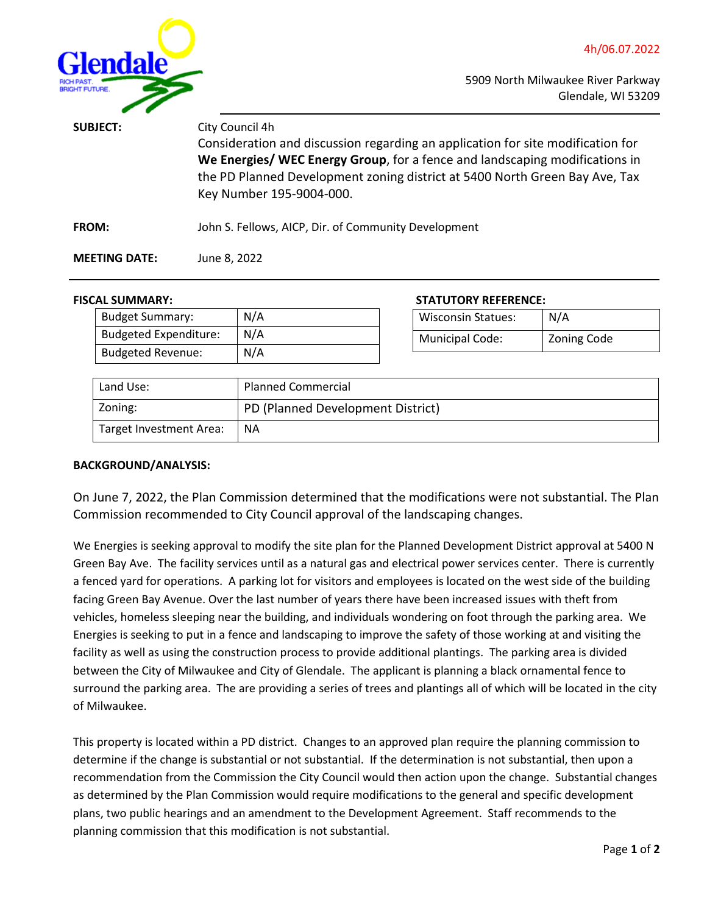<span id="page-11-0"></span>

| <b>SUBJECT:</b>      | City Council 4h<br>Consideration and discussion regarding an application for site modification for<br>We Energies/ WEC Energy Group, for a fence and landscaping modifications in<br>the PD Planned Development zoning district at 5400 North Green Bay Ave, Tax<br>Key Number 195-9004-000. |  |
|----------------------|----------------------------------------------------------------------------------------------------------------------------------------------------------------------------------------------------------------------------------------------------------------------------------------------|--|
| <b>FROM:</b>         | John S. Fellows, AICP, Dir. of Community Development                                                                                                                                                                                                                                         |  |
| <b>MEETING DATE:</b> | June 8, 2022                                                                                                                                                                                                                                                                                 |  |

#### **FISCAL SUMMARY: STATUTORY REFERENCE:**

| .                            |     | ,,,,,,,,,,,,,,,,,,,,,,,,,,,,, |                           |                    |
|------------------------------|-----|-------------------------------|---------------------------|--------------------|
| <b>Budget Summary:</b>       | N/A |                               | <b>Wisconsin Statues:</b> | N/A                |
| <b>Budgeted Expenditure:</b> | N/A |                               | <b>Municipal Code:</b>    | <b>Zoning Code</b> |
| <b>Budgeted Revenue:</b>     | N/A |                               |                           |                    |

| Land Use:               | <b>Planned Commercial</b>         |
|-------------------------|-----------------------------------|
| Zoning:                 | PD (Planned Development District) |
| Target Investment Area: | <b>NA</b>                         |

#### **BACKGROUND/ANALYSIS:**

On June 7, 2022, the Plan Commission determined that the modifications were not substantial. The Plan Commission recommended to City Council approval of the landscaping changes.

We Energies is seeking approval to modify the site plan for the Planned Development District approval at 5400 N Green Bay Ave. The facility services until as a natural gas and electrical power services center. There is currently a fenced yard for operations. A parking lot for visitors and employees is located on the west side of the building facing Green Bay Avenue. Over the last number of years there have been increased issues with theft from vehicles, homeless sleeping near the building, and individuals wondering on foot through the parking area. We Energies is seeking to put in a fence and landscaping to improve the safety of those working at and visiting the facility as well as using the construction process to provide additional plantings. The parking area is divided between the City of Milwaukee and City of Glendale. The applicant is planning a black ornamental fence to surround the parking area. The are providing a series of trees and plantings all of which will be located in the city of Milwaukee.

This property is located within a PD district. Changes to an approved plan require the planning commission to determine if the change is substantial or not substantial. If the determination is not substantial, then upon a recommendation from the Commission the City Council would then action upon the change. Substantial changes as determined by the Plan Commission would require modifications to the general and specific development plans, two public hearings and an amendment to the Development Agreement. Staff recommends to the planning commission that this modification is not substantial.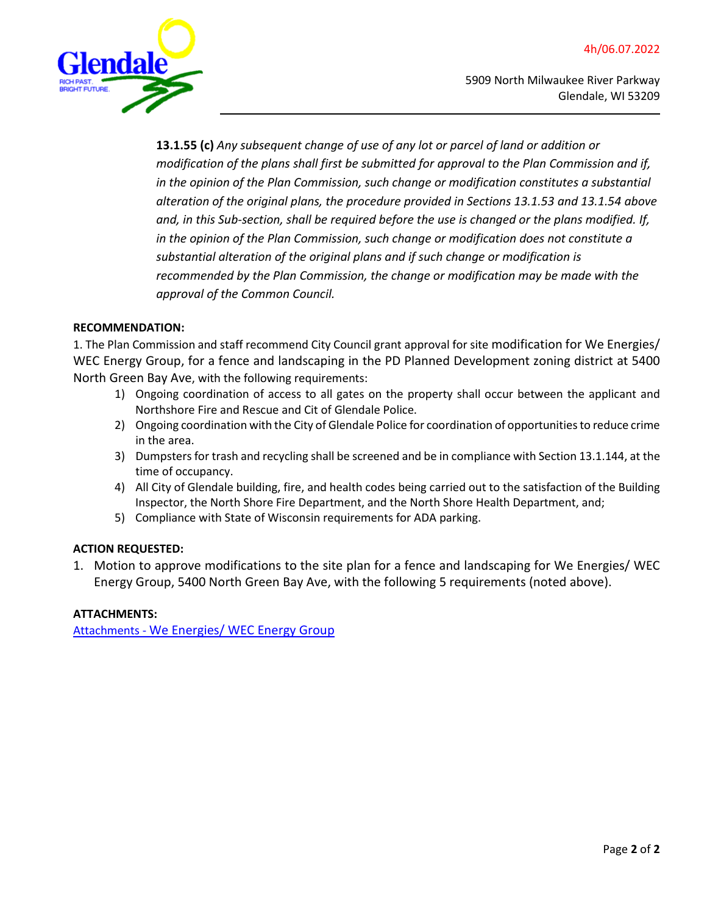

**13.1.55 (c)** *Any subsequent change of use of any lot or parcel of land or addition or modification of the plans shall first be submitted for approval to the Plan Commission and if, in the opinion of the Plan Commission, such change or modification constitutes a substantial alteration of the original plans, the procedure provided in Sections 13.1.53 and 13.1.54 above and, in this Sub-section, shall be required before the use is changed or the plans modified. If, in the opinion of the Plan Commission, such change or modification does not constitute a substantial alteration of the original plans and if such change or modification is recommended by the Plan Commission, the change or modification may be made with the approval of the Common Council.*

#### **RECOMMENDATION:**

1. The Plan Commission and staff recommend City Council grant approval for site modification for We Energies/ WEC Energy Group, for a fence and landscaping in the PD Planned Development zoning district at 5400 North Green Bay Ave, with the following requirements:

- 1) Ongoing coordination of access to all gates on the property shall occur between the applicant and Northshore Fire and Rescue and Cit of Glendale Police.
- 2) Ongoing coordination with the City of Glendale Police for coordination of opportunities to reduce crime in the area.
- 3) Dumpsters for trash and recycling shall be screened and be in compliance with Section 13.1.144, at the time of occupancy.
- 4) All City of Glendale building, fire, and health codes being carried out to the satisfaction of the Building Inspector, the North Shore Fire Department, and the North Shore Health Department, and;
- 5) Compliance with State of Wisconsin requirements for ADA parking.

#### **ACTION REQUESTED:**

1. Motion to approve modifications to the site plan for a fence and landscaping for We Energies/ WEC Energy Group, 5400 North Green Bay Ave, with the following 5 requirements (noted above).

#### **ATTACHMENTS:**

[Attachments](https://www.glendale-wi.org/DocumentCenter/View/2730/l---Attachment---We-Energies) - [We Energies/ WEC Energy Group](https://www.glendale-wi.org/DocumentCenter/View/2730/l---Attachment---We-Energies)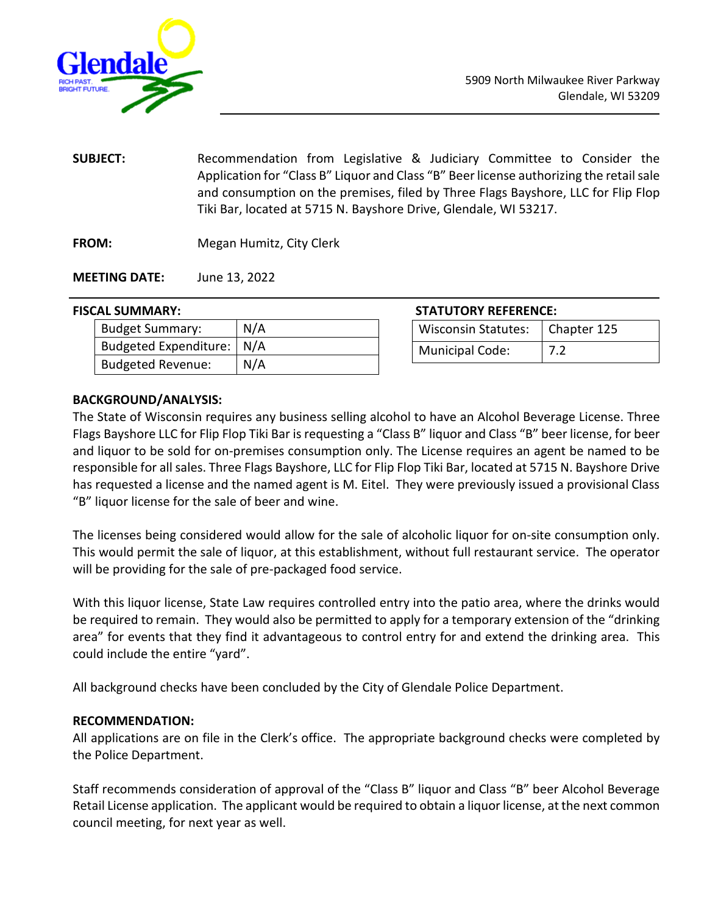<span id="page-13-0"></span>

**SUBJECT:** Recommendation from Legislative & Judiciary Committee to Consider the Application for "Class B" Liquor and Class "B" Beer license authorizing the retail sale and consumption on the premises, filed by Three Flags Bayshore, LLC for Flip Flop Tiki Bar, located at 5715 N. Bayshore Drive, Glendale, WI 53217.

**FROM:** Megan Humitz, City Clerk

**MEETING DATE:** June 13, 2022

#### **FISCAL SUMMARY:**

| <b>Budget Summary:</b>      | N/A |
|-----------------------------|-----|
| Budgeted Expenditure:   N/A |     |
| <b>Budgeted Revenue:</b>    | N/A |

| <b>STATUTORY REFERENCE:</b> |
|-----------------------------|
|-----------------------------|

| Wisconsin Statutes:   Chapter 125 |     |
|-----------------------------------|-----|
| <b>Municipal Code:</b>            | 7.2 |

#### **BACKGROUND/ANALYSIS:**

The State of Wisconsin requires any business selling alcohol to have an Alcohol Beverage License. Three Flags Bayshore LLC for Flip Flop Tiki Bar is requesting a "Class B" liquor and Class "B" beer license, for beer and liquor to be sold for on-premises consumption only. The License requires an agent be named to be responsible for all sales. Three Flags Bayshore, LLC for Flip Flop Tiki Bar, located at 5715 N. Bayshore Drive has requested a license and the named agent is M. Eitel. They were previously issued a provisional Class "B" liquor license for the sale of beer and wine.

The licenses being considered would allow for the sale of alcoholic liquor for on-site consumption only. This would permit the sale of liquor, at this establishment, without full restaurant service. The operator will be providing for the sale of pre-packaged food service.

With this liquor license, State Law requires controlled entry into the patio area, where the drinks would be required to remain. They would also be permitted to apply for a temporary extension of the "drinking area" for events that they find it advantageous to control entry for and extend the drinking area. This could include the entire "yard".

All background checks have been concluded by the City of Glendale Police Department.

#### **RECOMMENDATION:**

All applications are on file in the Clerk's office. The appropriate background checks were completed by the Police Department.

Staff recommends consideration of approval of the "Class B" liquor and Class "B" beer Alcohol Beverage Retail License application. The applicant would be required to obtain a liquor license, at the next common council meeting, for next year as well.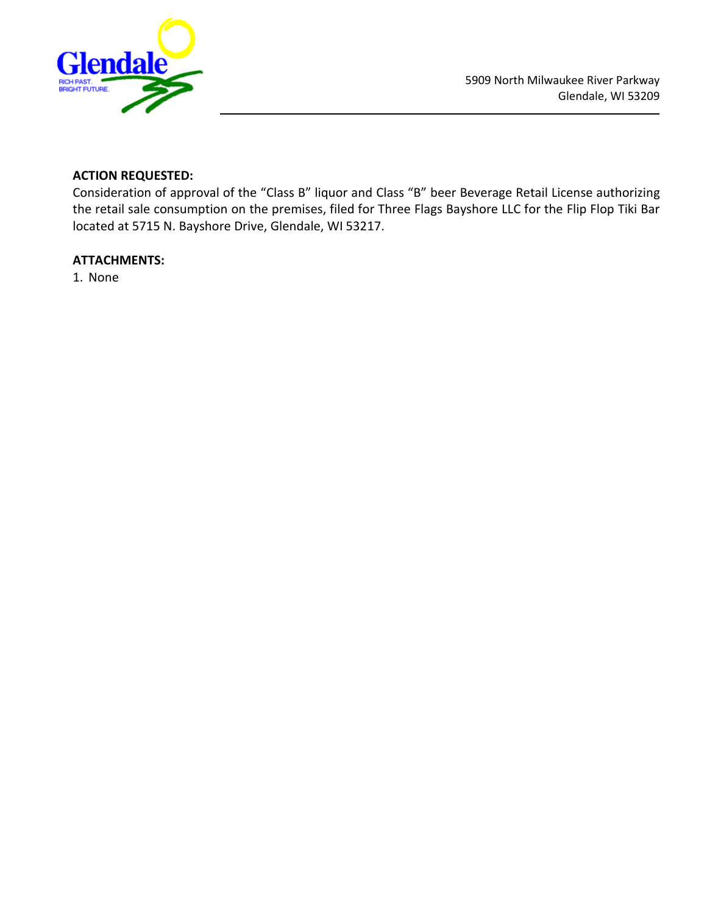

# **ACTION REQUESTED:**

Consideration of approval of the "Class B" liquor and Class "B" beer Beverage Retail License authorizing the retail sale consumption on the premises, filed for Three Flags Bayshore LLC for the Flip Flop Tiki Bar located at 5715 N. Bayshore Drive, Glendale, WI 53217.

#### **ATTACHMENTS:**

1. None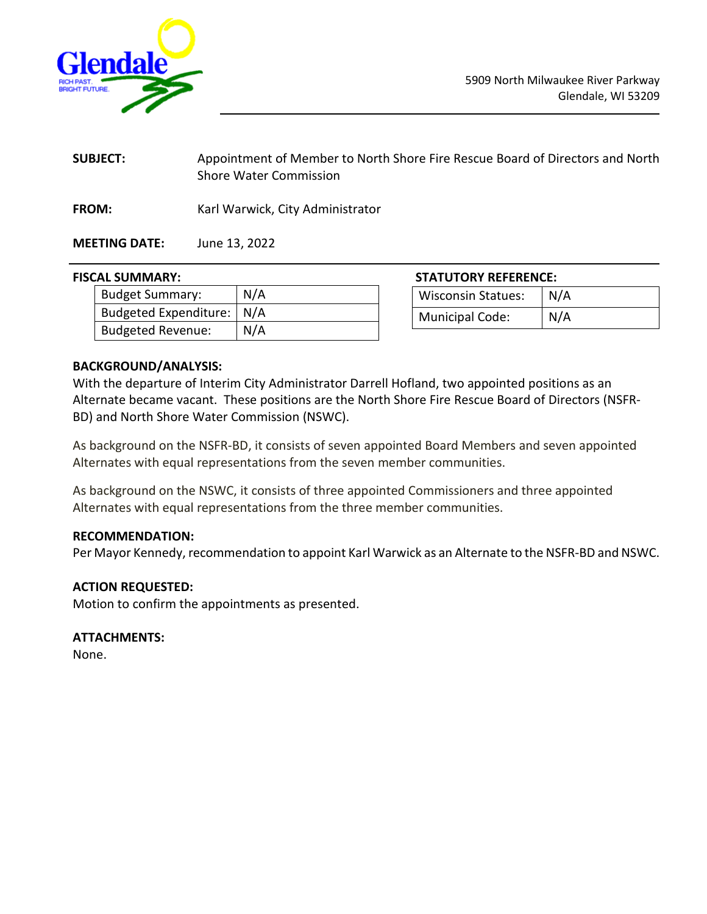<span id="page-15-0"></span>

| <b>SUBJECT:</b> | Appointment of Member to North Shore Fire Rescue Board of Directors and North |
|-----------------|-------------------------------------------------------------------------------|
|                 | <b>Shore Water Commission</b>                                                 |

FROM: Karl Warwick, City Administrator

**MEETING DATE:** June 13, 2022

# **FISCAL SUMMARY: STATUTORY REFERENCE:**

| Budget Summary:             | N/A |
|-----------------------------|-----|
| Budgeted Expenditure:   N/A |     |
| <b>Budgeted Revenue:</b>    | N/A |

| SIAIUIUKY KEFEKENCE:      |     |  |
|---------------------------|-----|--|
| <b>Wisconsin Statues:</b> | N/A |  |
| <b>Municipal Code:</b>    | N/A |  |

#### **BACKGROUND/ANALYSIS:**

With the departure of Interim City Administrator Darrell Hofland, two appointed positions as an Alternate became vacant. These positions are the North Shore Fire Rescue Board of Directors (NSFR-BD) and North Shore Water Commission (NSWC).

As background on the NSFR-BD, it consists of seven appointed Board Members and seven appointed Alternates with equal representations from the seven member communities.

As background on the NSWC, it consists of three appointed Commissioners and three appointed Alternates with equal representations from the three member communities.

#### **RECOMMENDATION:**

Per Mayor Kennedy, recommendation to appoint Karl Warwick as an Alternate to the NSFR-BD and NSWC.

### **ACTION REQUESTED:**

Motion to confirm the appointments as presented.

#### **ATTACHMENTS:**

None.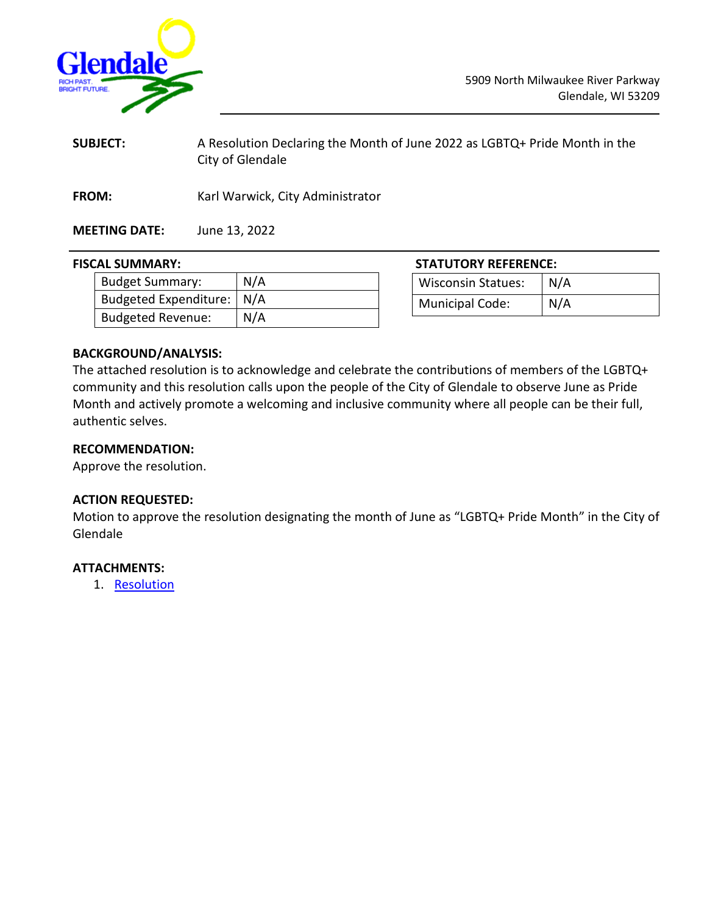<span id="page-16-0"></span>

| <b>SUBJECT:</b>      | A Resolution Declaring the Month of June 2022 as LGBTQ+ Pride Month in the<br>City of Glendale |
|----------------------|------------------------------------------------------------------------------------------------|
| <b>FROM:</b>         | Karl Warwick, City Administrator                                                               |
| <b>MEETING DATE:</b> | June 13, 2022                                                                                  |

#### **FISCAL SUMMARY: STATUTORY REFERENCE:**

| .                           |     |
|-----------------------------|-----|
| Budget Summary:             | N/A |
| Budgeted Expenditure:   N/A |     |
| Budgeted Revenue:           | N/A |

Wisconsin Statues: | N/A Municipal Code: | N/A

#### **BACKGROUND/ANALYSIS:**

The attached resolution is to acknowledge and celebrate the contributions of members of the LGBTQ+ community and this resolution calls upon the people of the City of Glendale to observe June as Pride Month and actively promote a welcoming and inclusive community where all people can be their full, authentic selves.

#### **RECOMMENDATION:**

Approve the resolution.

#### **ACTION REQUESTED:**

Motion to approve the resolution designating the month of June as "LGBTQ+ Pride Month" in the City of Glendale

#### **ATTACHMENTS:**

1. [Resolution](https://www.glendale-wi.org/DocumentCenter/View/2739/Glendale-Pride-Month-Recognition-Proclamation-2022)